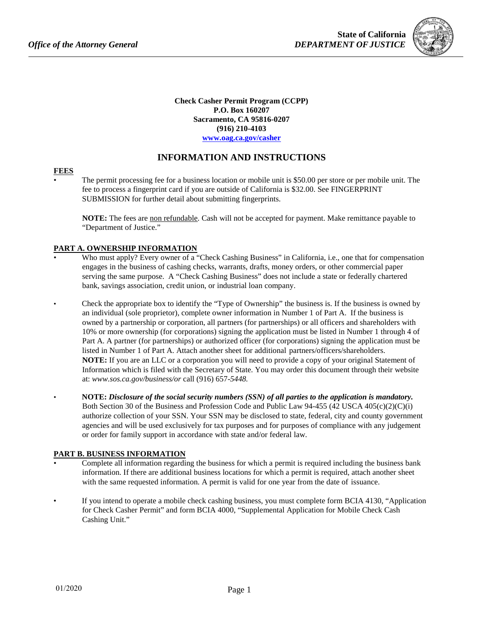

**Check Casher Permit Program (CCPP) P.O. Box 160207 Sacramento, CA 95816-0207 (916) 210-4103 [www.oag.ca.gov/casher](http://www.oag.ca.gov/casher)**

# **INFORMATION AND INSTRUCTIONS**

#### **FEES**

• The permit processing fee for a business location or mobile unit is \$50.00 per store or per mobile unit. The fee to process a fingerprint card if you are outside of California is \$32.00. See FINGERPRINT SUBMISSION for further detail about submitting fingerprints.

**NOTE:** The fees are non refundable. Cash will not be accepted for payment. Make remittance payable to "Department of Justice."

# **PART A. OWNERSHIP INFORMATION**

- Who must apply? Every owner of a "Check Cashing Business" in California, i.e., one that for compensation engages in the business of cashing checks, warrants, drafts, money orders, or other commercial paper serving the same purpose. A "Check Cashing Business" does not include a state or federally chartered bank, savings association, credit union, or industrial loan company.
- Check the appropriate box to identify the "Type of Ownership" the business is. If the business is owned by an individual (sole proprietor), complete owner information in Number 1 of Part A. If the business is owned by a partnership or corporation, all partners (for partnerships) or all officers and shareholders with 10% or more ownership (for corporations) signing the application must be listed in Number 1 through 4 of Part A. A partner (for partnerships) or authorized officer (for corporations) signing the application must be listed in Number 1 of Part A. Attach another sheet for additional partners/officers/shareholders. **NOTE:** If you are an LLC or a corporation you will need to provide a copy of your original Statement of Information which is filed with the Secretary of State. You may order this document through their website at: *[www.sos.ca.gov/business/or](http://www.sos.ca.gov/business/or)* call (916) 657-*5448.*
- **NOTE:** *Disclosure of the social security numbers (SSN) of all parties to the application is mandatory.* Both Section 30 of the Business and Profession Code and Public Law 94-455 (42 USCA 405(c)(2)(C)(i) authorize collection of your SSN. Your SSN may be disclosed to state, federal, city and county government agencies and will be used exclusively for tax purposes and for purposes of compliance with any judgement or order for family support in accordance with state and/or federal law.

## **PART B. BUSINESS INFORMATION**

- Complete all information regarding the business for which a permit is required including the business bank information. If there are additional business locations for which a permit is required, attach another sheet with the same requested information. A permit is valid for one year from the date of issuance.
- If you intend to operate a mobile check cashing business, you must complete form BCIA 4130, "Application for Check Casher Permit" and form BCIA 4000, "Supplemental Application for Mobile Check Cash Cashing Unit."